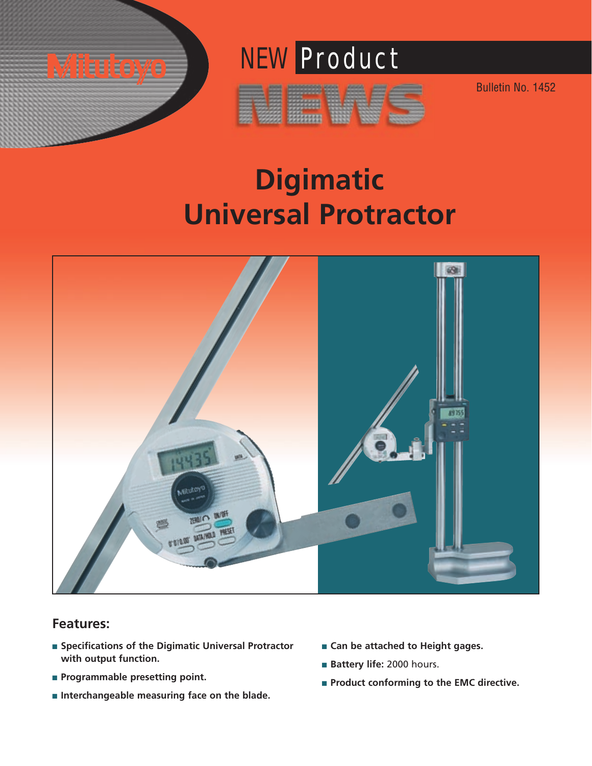

# NEW Product

Bulletin No. 1452





### **Features:**

- **Specifications of the Digimatic Universal Protractor with output function.**
- **Programmable presetting point.**
- Interchangeable measuring face on the blade.
- **Can be attached to Height gages.**
- **Battery life:** 2000 hours.
- **Product conforming to the EMC directive.**